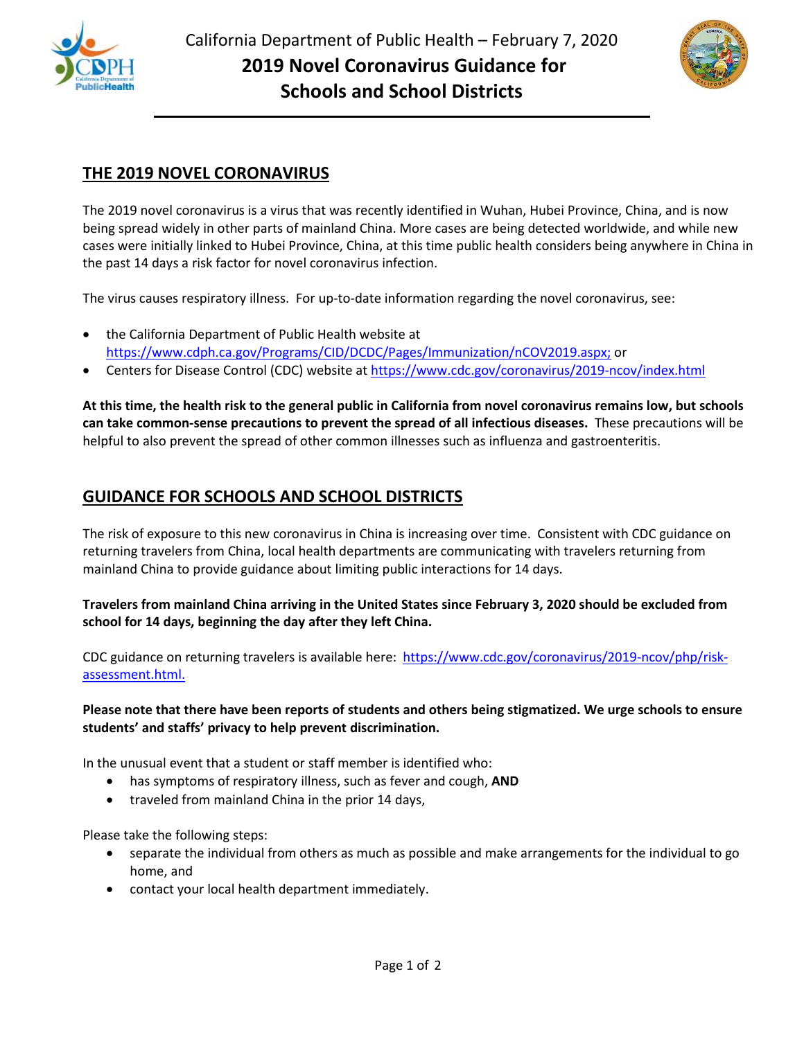



## **THE 2019 NOVEL CORONAVIRUS**

The 2019 novel coronavirus is a virus that was recently identified in Wuhan, Hubei Province, China, and is now being spread widely in other parts of mainland China. More cases are being detected worldwide, and while new cases were initially linked to Hubei Province, China, at this time public health considers being anywhere in China in the past 14 days a risk factor for novel coronavirus infection.

The virus causes respiratory illness. For up-to-date information regarding the novel coronavirus, see:

- the California Department of Public Health website at [https://www.cdph.ca.gov/Programs/CID/DCDC/Pages/Immunization/nCOV2019.aspx;](https://www.cdph.ca.gov/Programs/CID/DCDC/Pages/Immunization/nCOV2019.aspx) or
- Centers for Disease Control (CDC) website a[t https://www.cdc.gov/coronavirus/2019-ncov/index.html](https://www.cdc.gov/coronavirus/2019-ncov/index.html)

**At this time, the health risk to the general public in California from novel coronavirus remains low, but schools can take common-sense precautions to prevent the spread of all infectious diseases.** These precautions will be helpful to also prevent the spread of other common illnesses such as influenza and gastroenteritis.

## **GUIDANCE FOR SCHOOLS AND SCHOOL DISTRICTS**

The risk of exposure to this new coronavirus in China is increasing over time. Consistent with CDC guidance on returning travelers from China, local health departments are communicating with travelers returning from mainland China to provide guidance about limiting public interactions for 14 days.

**Travelers from mainland China arriving in the United States since February 3, 2020 should be excluded from school for 14 days, beginning the day after they left China.**

CDC guidance on returning travelers is available here: [https://www.cdc.gov/coronavirus/2019-ncov/php/risk](https://www.cdc.gov/coronavirus/2019-ncov/php/risk-assessment.html)[assessment.html.](https://www.cdc.gov/coronavirus/2019-ncov/php/risk-assessment.html)

## **Please note that there have been reports of students and others being stigmatized. We urge schools to ensure students' and staffs' privacy to help prevent discrimination.**

In the unusual event that a student or staff member is identified who:

- has symptoms of respiratory illness, such as fever and cough, **AND**
- traveled from mainland China in the prior 14 days,

Please take the following steps:

- separate the individual from others as much as possible and make arrangements for the individual to go home, and
- contact your local health department immediately.